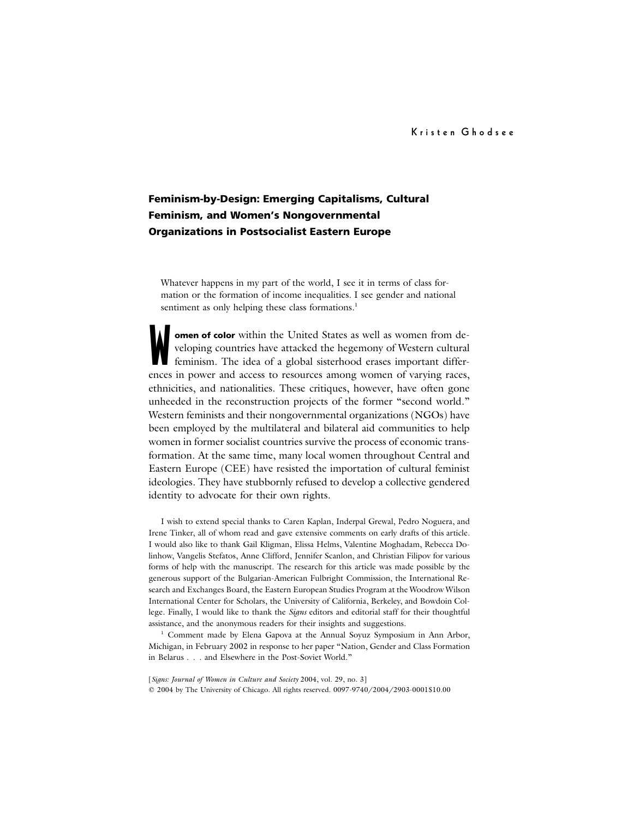# **Feminism-by-Design: Emerging Capitalisms, Cultural Feminism, and Women's Nongovernmental Organizations in Postsocialist Eastern Europe**

Whatever happens in my part of the world, I see it in terms of class formation or the formation of income inequalities. I see gender and national sentiment as only helping these class formations.<sup>1</sup>

omen of color within the United States as well as women from developing countries have attacked the hegemony of Western cultural feminism. The idea of a global sisterhood erases important differences in power and access to **omen of color** within the United States as well as women from developing countries have attacked the hegemony of Western cultural feminism. The idea of a global sisterhood erases important differethnicities, and nationalities. These critiques, however, have often gone unheeded in the reconstruction projects of the former "second world." Western feminists and their nongovernmental organizations (NGOs) have been employed by the multilateral and bilateral aid communities to help women in former socialist countries survive the process of economic transformation. At the same time, many local women throughout Central and Eastern Europe (CEE) have resisted the importation of cultural feminist ideologies. They have stubbornly refused to develop a collective gendered identity to advocate for their own rights.

I wish to extend special thanks to Caren Kaplan, Inderpal Grewal, Pedro Noguera, and Irene Tinker, all of whom read and gave extensive comments on early drafts of this article. I would also like to thank Gail Kligman, Elissa Helms, Valentine Moghadam, Rebecca Dolinhow, Vangelis Stefatos, Anne Clifford, Jennifer Scanlon, and Christian Filipov for various forms of help with the manuscript. The research for this article was made possible by the generous support of the Bulgarian-American Fulbright Commission, the International Research and Exchanges Board, the Eastern European Studies Program at the Woodrow Wilson International Center for Scholars, the University of California, Berkeley, and Bowdoin College. Finally, I would like to thank the *Signs* editors and editorial staff for their thoughtful assistance, and the anonymous readers for their insights and suggestions.

<sup>1</sup> Comment made by Elena Gapova at the Annual Soyuz Symposium in Ann Arbor, Michigan, in February 2002 in response to her paper "Nation, Gender and Class Formation in Belarus . . . and Elsewhere in the Post-Soviet World."

[*Signs: Journal of Women in Culture and Society* 2004, vol. 29, no. 3] 2004 by The University of Chicago. All rights reserved. 0097-9740/2004/2903-0001\$10.00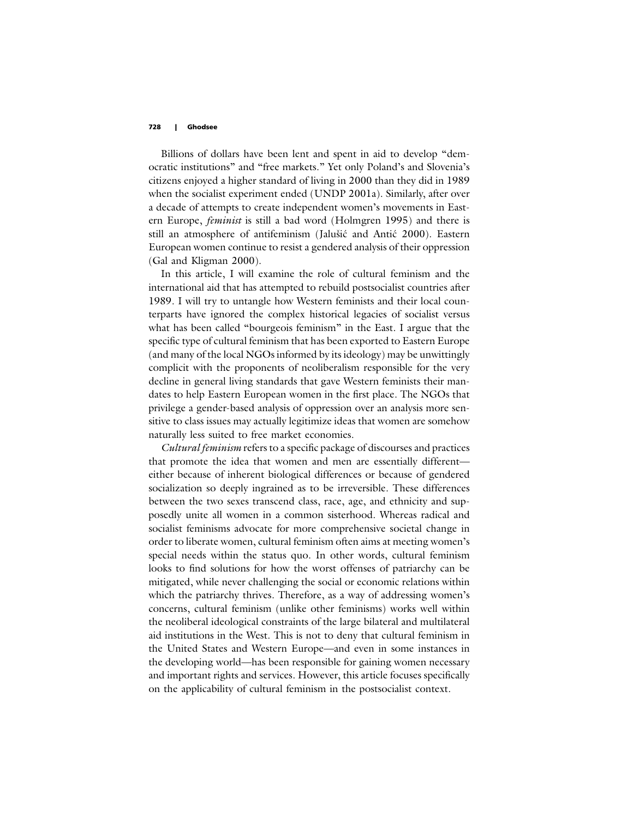Billions of dollars have been lent and spent in aid to develop "democratic institutions" and "free markets." Yet only Poland's and Slovenia's citizens enjoyed a higher standard of living in 2000 than they did in 1989 when the socialist experiment ended (UNDP 2001a). Similarly, after over a decade of attempts to create independent women's movements in Eastern Europe, *feminist* is still a bad word (Holmgren 1995) and there is still an atmosphere of antifeminism (Jalušić and Antić 2000). Eastern European women continue to resist a gendered analysis of their oppression (Gal and Kligman 2000).

In this article, I will examine the role of cultural feminism and the international aid that has attempted to rebuild postsocialist countries after 1989. I will try to untangle how Western feminists and their local counterparts have ignored the complex historical legacies of socialist versus what has been called "bourgeois feminism" in the East. I argue that the specific type of cultural feminism that has been exported to Eastern Europe (and many of the local NGOs informed by its ideology) may be unwittingly complicit with the proponents of neoliberalism responsible for the very decline in general living standards that gave Western feminists their mandates to help Eastern European women in the first place. The NGOs that privilege a gender-based analysis of oppression over an analysis more sensitive to class issues may actually legitimize ideas that women are somehow naturally less suited to free market economies.

*Cultural feminism* refers to a specific package of discourses and practices that promote the idea that women and men are essentially different either because of inherent biological differences or because of gendered socialization so deeply ingrained as to be irreversible. These differences between the two sexes transcend class, race, age, and ethnicity and supposedly unite all women in a common sisterhood. Whereas radical and socialist feminisms advocate for more comprehensive societal change in order to liberate women, cultural feminism often aims at meeting women's special needs within the status quo. In other words, cultural feminism looks to find solutions for how the worst offenses of patriarchy can be mitigated, while never challenging the social or economic relations within which the patriarchy thrives. Therefore, as a way of addressing women's concerns, cultural feminism (unlike other feminisms) works well within the neoliberal ideological constraints of the large bilateral and multilateral aid institutions in the West. This is not to deny that cultural feminism in the United States and Western Europe—and even in some instances in the developing world—has been responsible for gaining women necessary and important rights and services. However, this article focuses specifically on the applicability of cultural feminism in the postsocialist context.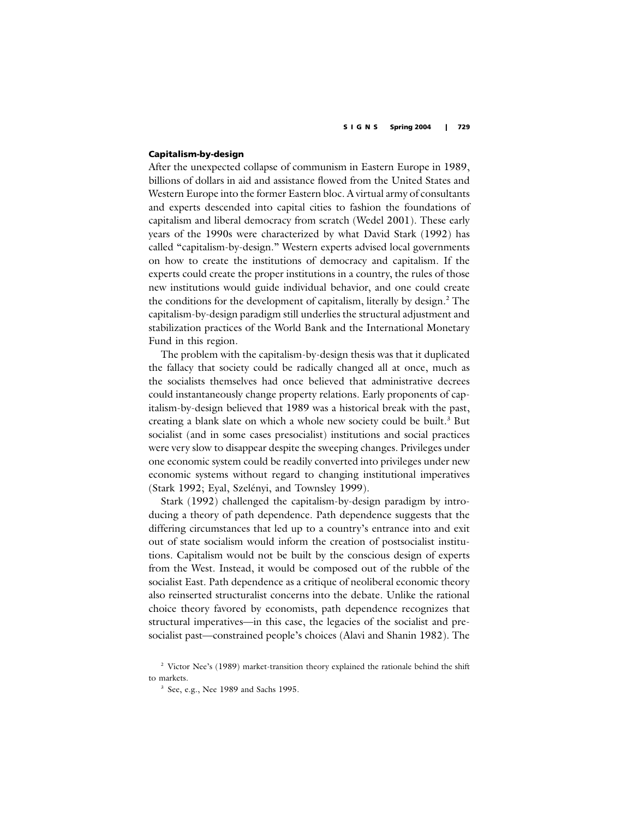# **Capitalism-by-design**

After the unexpected collapse of communism in Eastern Europe in 1989, billions of dollars in aid and assistance flowed from the United States and Western Europe into the former Eastern bloc. A virtual army of consultants and experts descended into capital cities to fashion the foundations of capitalism and liberal democracy from scratch (Wedel 2001). These early years of the 1990s were characterized by what David Stark (1992) has called "capitalism-by-design." Western experts advised local governments on how to create the institutions of democracy and capitalism. If the experts could create the proper institutions in a country, the rules of those new institutions would guide individual behavior, and one could create the conditions for the development of capitalism, literally by design.<sup>2</sup> The capitalism-by-design paradigm still underlies the structural adjustment and stabilization practices of the World Bank and the International Monetary Fund in this region.

The problem with the capitalism-by-design thesis was that it duplicated the fallacy that society could be radically changed all at once, much as the socialists themselves had once believed that administrative decrees could instantaneously change property relations. Early proponents of capitalism-by-design believed that 1989 was a historical break with the past, creating a blank slate on which a whole new society could be built.<sup>3</sup> But socialist (and in some cases presocialist) institutions and social practices were very slow to disappear despite the sweeping changes. Privileges under one economic system could be readily converted into privileges under new economic systems without regard to changing institutional imperatives (Stark 1992; Eyal, Szelényi, and Townsley 1999).

Stark (1992) challenged the capitalism-by-design paradigm by introducing a theory of path dependence. Path dependence suggests that the differing circumstances that led up to a country's entrance into and exit out of state socialism would inform the creation of postsocialist institutions. Capitalism would not be built by the conscious design of experts from the West. Instead, it would be composed out of the rubble of the socialist East. Path dependence as a critique of neoliberal economic theory also reinserted structuralist concerns into the debate. Unlike the rational choice theory favored by economists, path dependence recognizes that structural imperatives—in this case, the legacies of the socialist and presocialist past—constrained people's choices (Alavi and Shanin 1982). The

<sup>&</sup>lt;sup>2</sup> Victor Nee's (1989) market-transition theory explained the rationale behind the shift to markets.

<sup>3</sup> See, e.g., Nee 1989 and Sachs 1995.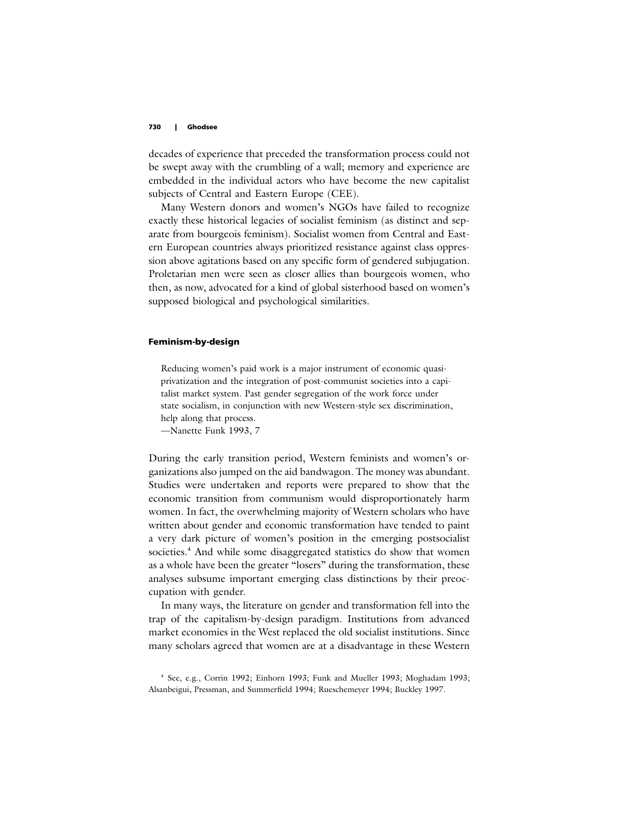decades of experience that preceded the transformation process could not be swept away with the crumbling of a wall; memory and experience are embedded in the individual actors who have become the new capitalist subjects of Central and Eastern Europe (CEE).

Many Western donors and women's NGOs have failed to recognize exactly these historical legacies of socialist feminism (as distinct and separate from bourgeois feminism). Socialist women from Central and Eastern European countries always prioritized resistance against class oppression above agitations based on any specific form of gendered subjugation. Proletarian men were seen as closer allies than bourgeois women, who then, as now, advocated for a kind of global sisterhood based on women's supposed biological and psychological similarities.

# **Feminism-by-design**

Reducing women's paid work is a major instrument of economic quasiprivatization and the integration of post-communist societies into a capitalist market system. Past gender segregation of the work force under state socialism, in conjunction with new Western-style sex discrimination, help along that process.

During the early transition period, Western feminists and women's organizations also jumped on the aid bandwagon. The money was abundant. Studies were undertaken and reports were prepared to show that the economic transition from communism would disproportionately harm women. In fact, the overwhelming majority of Western scholars who have written about gender and economic transformation have tended to paint a very dark picture of women's position in the emerging postsocialist societies.<sup>4</sup> And while some disaggregated statistics do show that women as a whole have been the greater "losers" during the transformation, these analyses subsume important emerging class distinctions by their preoccupation with gender.

In many ways, the literature on gender and transformation fell into the trap of the capitalism-by-design paradigm. Institutions from advanced market economies in the West replaced the old socialist institutions. Since many scholars agreed that women are at a disadvantage in these Western

<sup>—</sup>Nanette Funk 1993, 7

<sup>4</sup> See, e.g., Corrin 1992; Einhorn 1993; Funk and Mueller 1993; Moghadam 1993; Alsanbeigui, Pressman, and Summerfield 1994; Rueschemeyer 1994; Buckley 1997.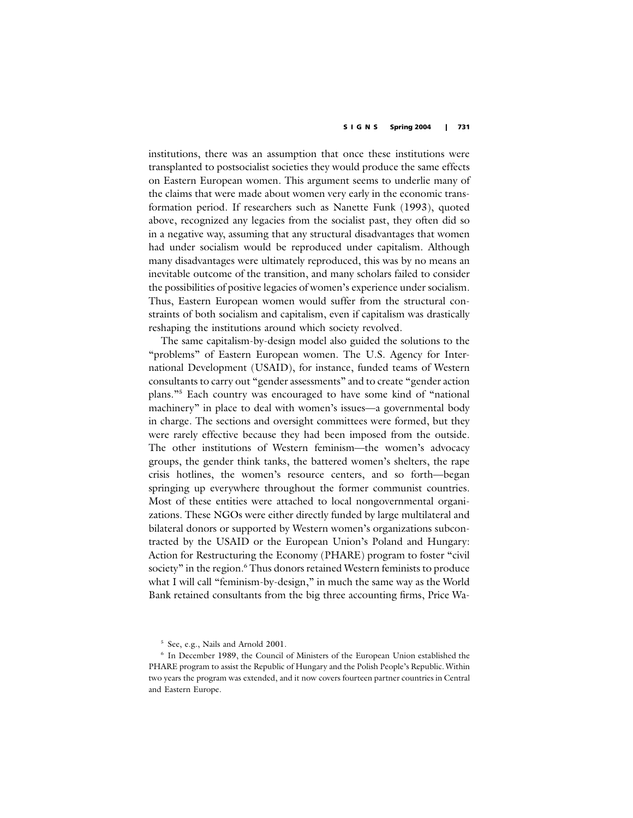institutions, there was an assumption that once these institutions were transplanted to postsocialist societies they would produce the same effects on Eastern European women. This argument seems to underlie many of the claims that were made about women very early in the economic transformation period. If researchers such as Nanette Funk (1993), quoted above, recognized any legacies from the socialist past, they often did so in a negative way, assuming that any structural disadvantages that women had under socialism would be reproduced under capitalism. Although many disadvantages were ultimately reproduced, this was by no means an inevitable outcome of the transition, and many scholars failed to consider the possibilities of positive legacies of women's experience under socialism. Thus, Eastern European women would suffer from the structural constraints of both socialism and capitalism, even if capitalism was drastically reshaping the institutions around which society revolved.

The same capitalism-by-design model also guided the solutions to the "problems" of Eastern European women. The U.S. Agency for International Development (USAID), for instance, funded teams of Western consultants to carry out "gender assessments" and to create "gender action plans."<sup>5</sup> Each country was encouraged to have some kind of "national machinery" in place to deal with women's issues—a governmental body in charge. The sections and oversight committees were formed, but they were rarely effective because they had been imposed from the outside. The other institutions of Western feminism—the women's advocacy groups, the gender think tanks, the battered women's shelters, the rape crisis hotlines, the women's resource centers, and so forth—began springing up everywhere throughout the former communist countries. Most of these entities were attached to local nongovernmental organizations. These NGOs were either directly funded by large multilateral and bilateral donors or supported by Western women's organizations subcontracted by the USAID or the European Union's Poland and Hungary: Action for Restructuring the Economy (PHARE) program to foster "civil society" in the region.<sup>6</sup> Thus donors retained Western feminists to produce what I will call "feminism-by-design," in much the same way as the World Bank retained consultants from the big three accounting firms, Price Wa-

<sup>5</sup> See, e.g., Nails and Arnold 2001.

<sup>6</sup> In December 1989, the Council of Ministers of the European Union established the PHARE program to assist the Republic of Hungary and the Polish People's Republic. Within two years the program was extended, and it now covers fourteen partner countries in Central and Eastern Europe.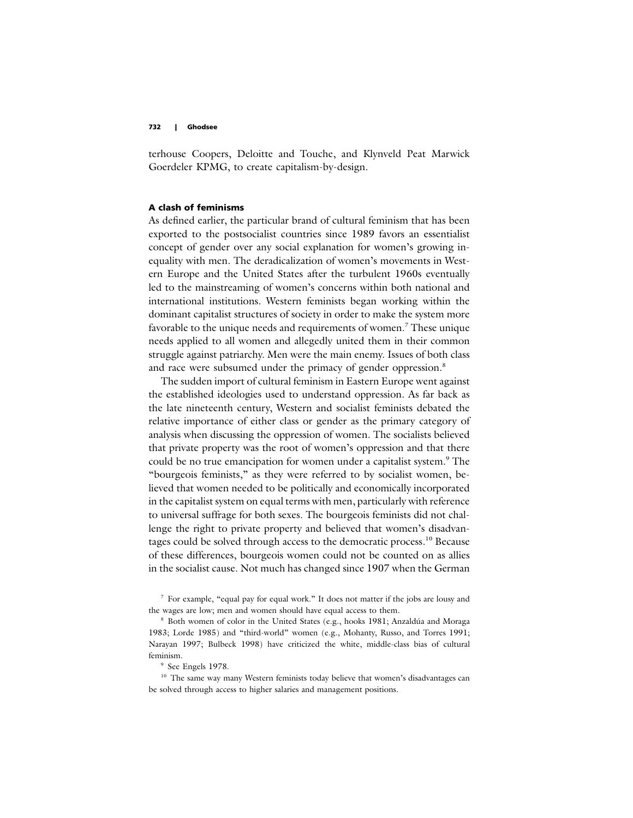terhouse Coopers, Deloitte and Touche, and Klynveld Peat Marwick Goerdeler KPMG, to create capitalism-by-design.

# **A clash of feminisms**

As defined earlier, the particular brand of cultural feminism that has been exported to the postsocialist countries since 1989 favors an essentialist concept of gender over any social explanation for women's growing inequality with men. The deradicalization of women's movements in Western Europe and the United States after the turbulent 1960s eventually led to the mainstreaming of women's concerns within both national and international institutions. Western feminists began working within the dominant capitalist structures of society in order to make the system more favorable to the unique needs and requirements of women.<sup>7</sup> These unique needs applied to all women and allegedly united them in their common struggle against patriarchy. Men were the main enemy. Issues of both class and race were subsumed under the primacy of gender oppression.<sup>8</sup>

The sudden import of cultural feminism in Eastern Europe went against the established ideologies used to understand oppression. As far back as the late nineteenth century, Western and socialist feminists debated the relative importance of either class or gender as the primary category of analysis when discussing the oppression of women. The socialists believed that private property was the root of women's oppression and that there could be no true emancipation for women under a capitalist system.<sup>9</sup> The "bourgeois feminists," as they were referred to by socialist women, believed that women needed to be politically and economically incorporated in the capitalist system on equal terms with men, particularly with reference to universal suffrage for both sexes. The bourgeois feminists did not challenge the right to private property and believed that women's disadvantages could be solved through access to the democratic process.<sup>10</sup> Because of these differences, bourgeois women could not be counted on as allies in the socialist cause. Not much has changed since 1907 when the German

<sup>7</sup> For example, "equal pay for equal work." It does not matter if the jobs are lousy and the wages are low; men and women should have equal access to them.

<sup>&</sup>lt;sup>8</sup> Both women of color in the United States (e.g., hooks 1981; Anzaldúa and Moraga 1983; Lorde 1985) and "third-world" women (e.g., Mohanty, Russo, and Torres 1991; Narayan 1997; Bulbeck 1998) have criticized the white, middle-class bias of cultural feminism.

<sup>9</sup> See Engels 1978.

<sup>&</sup>lt;sup>10</sup> The same way many Western feminists today believe that women's disadvantages can be solved through access to higher salaries and management positions.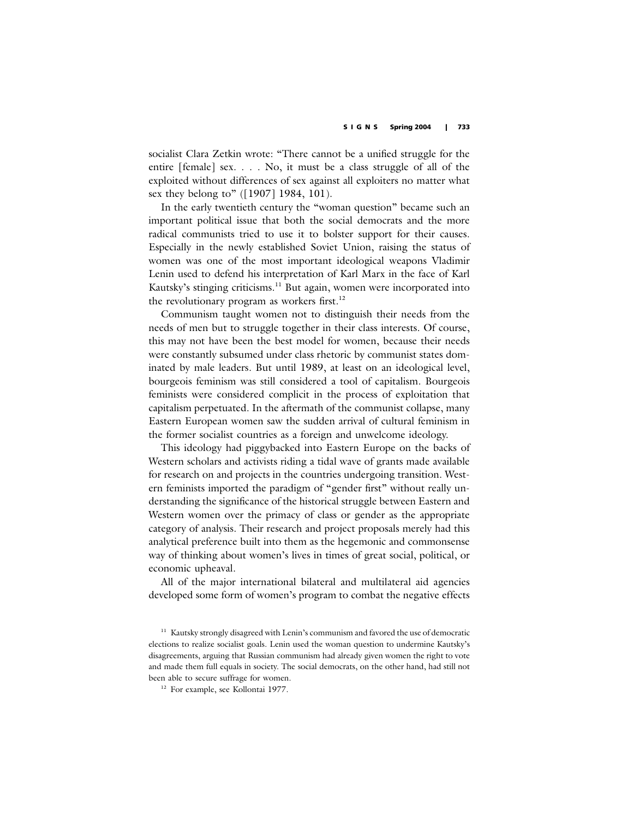socialist Clara Zetkin wrote: "There cannot be a unified struggle for the entire [female] sex. . . . No, it must be a class struggle of all of the exploited without differences of sex against all exploiters no matter what sex they belong to" ([1907] 1984, 101).

In the early twentieth century the "woman question" became such an important political issue that both the social democrats and the more radical communists tried to use it to bolster support for their causes. Especially in the newly established Soviet Union, raising the status of women was one of the most important ideological weapons Vladimir Lenin used to defend his interpretation of Karl Marx in the face of Karl Kautsky's stinging criticisms.<sup>11</sup> But again, women were incorporated into the revolutionary program as workers first.<sup>12</sup>

Communism taught women not to distinguish their needs from the needs of men but to struggle together in their class interests. Of course, this may not have been the best model for women, because their needs were constantly subsumed under class rhetoric by communist states dominated by male leaders. But until 1989, at least on an ideological level, bourgeois feminism was still considered a tool of capitalism. Bourgeois feminists were considered complicit in the process of exploitation that capitalism perpetuated. In the aftermath of the communist collapse, many Eastern European women saw the sudden arrival of cultural feminism in the former socialist countries as a foreign and unwelcome ideology.

This ideology had piggybacked into Eastern Europe on the backs of Western scholars and activists riding a tidal wave of grants made available for research on and projects in the countries undergoing transition. Western feminists imported the paradigm of "gender first" without really understanding the significance of the historical struggle between Eastern and Western women over the primacy of class or gender as the appropriate category of analysis. Their research and project proposals merely had this analytical preference built into them as the hegemonic and commonsense way of thinking about women's lives in times of great social, political, or economic upheaval.

All of the major international bilateral and multilateral aid agencies developed some form of women's program to combat the negative effects

<sup>&</sup>lt;sup>11</sup> Kautsky strongly disagreed with Lenin's communism and favored the use of democratic elections to realize socialist goals. Lenin used the woman question to undermine Kautsky's disagreements, arguing that Russian communism had already given women the right to vote and made them full equals in society. The social democrats, on the other hand, had still not been able to secure suffrage for women.

<sup>&</sup>lt;sup>12</sup> For example, see Kollontai 1977.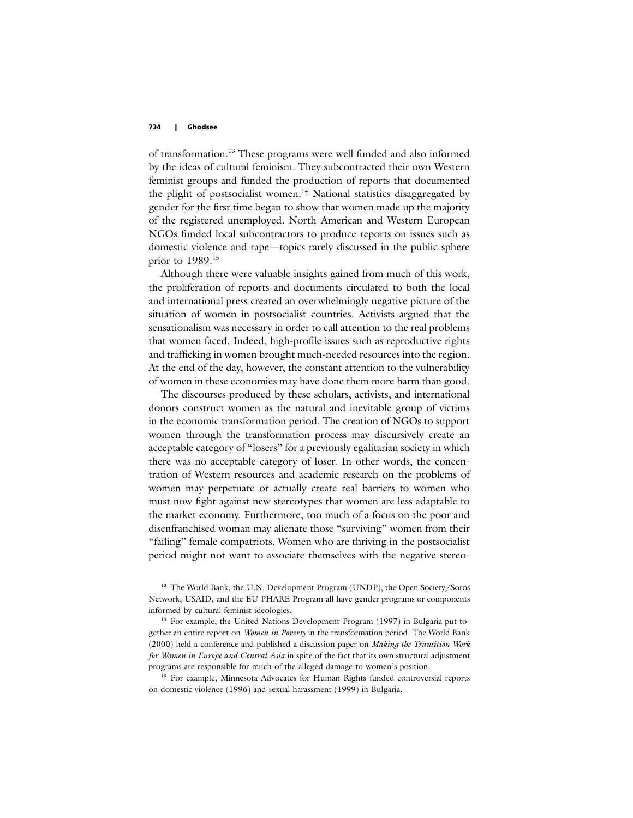of transformation.<sup>13</sup> These programs were well funded and also informed by the ideas of cultural feminism. They subcontracted their own Western feminist groups and funded the production of reports that documented the plight of postsocialist women.<sup>14</sup> National statistics disaggregated by gender for the first time began to show that women made up the majority of the registered unemployed. North American and Western European NGOs funded local subcontractors to produce reports on issues such as domestic violence and rape—topics rarely discussed in the public sphere prior to 1989.<sup>15</sup>

Although there were valuable insights gained from much of this work, the proliferation of reports and documents circulated to both the local and international press created an overwhelmingly negative picture of the situation of women in postsocialist countries. Activists argued that the sensationalism was necessary in order to call attention to the real problems that women faced. Indeed, high-profile issues such as reproductive rights and trafficking in women brought much-needed resources into the region. At the end of the day, however, the constant attention to the vulnerability of women in these economies may have done them more harm than good.

The discourses produced by these scholars, activists, and international donors construct women as the natural and inevitable group of victims in the economic transformation period. The creation of NGOs to support women through the transformation process may discursively create an acceptable category of "losers" for a previously egalitarian society in which there was no acceptable category of loser. In other words, the concentration of Western resources and academic research on the problems of women may perpetuate or actually create real barriers to women who must now fight against new stereotypes that women are less adaptable to the market economy. Furthermore, too much of a focus on the poor and disenfranchised woman may alienate those "surviving" women from their "failing" female compatriots. Women who are thriving in the postsocialist period might not want to associate themselves with the negative stereo-

<sup>13</sup> The World Bank, the U.N. Development Program (UNDP), the Open Society/Soros Network, USAID, and the EU PHARE Program all have gender programs or components informed by cultural feminist ideologies.

<sup>14</sup> For example, the United Nations Development Program (1997) in Bulgaria put together an entire report on *Women in Poverty* in the transformation period. The World Bank (2000) held a conference and published a discussion paper on *Making the Transition Work for Women in Europe and Central Asia* in spite of the fact that its own structural adjustment programs are responsible for much of the alleged damage to women's position.

<sup>15</sup> For example, Minnesota Advocates for Human Rights funded controversial reports on domestic violence (1996) and sexual harassment (1999) in Bulgaria.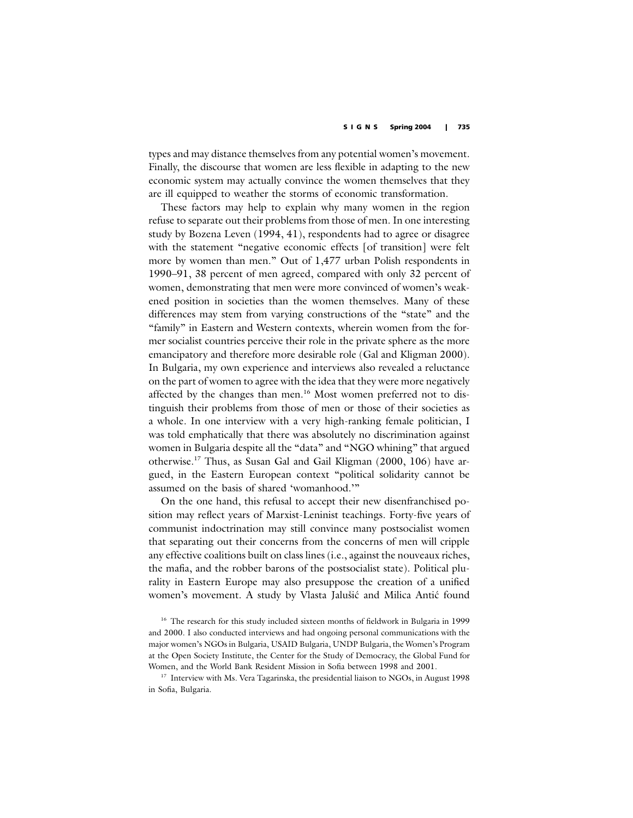types and may distance themselves from any potential women's movement. Finally, the discourse that women are less flexible in adapting to the new economic system may actually convince the women themselves that they are ill equipped to weather the storms of economic transformation.

These factors may help to explain why many women in the region refuse to separate out their problems from those of men. In one interesting study by Bozena Leven (1994, 41), respondents had to agree or disagree with the statement "negative economic effects [of transition] were felt more by women than men." Out of 1,477 urban Polish respondents in 1990–91, 38 percent of men agreed, compared with only 32 percent of women, demonstrating that men were more convinced of women's weakened position in societies than the women themselves. Many of these differences may stem from varying constructions of the "state" and the "family" in Eastern and Western contexts, wherein women from the former socialist countries perceive their role in the private sphere as the more emancipatory and therefore more desirable role (Gal and Kligman 2000). In Bulgaria, my own experience and interviews also revealed a reluctance on the part of women to agree with the idea that they were more negatively affected by the changes than men.<sup>16</sup> Most women preferred not to distinguish their problems from those of men or those of their societies as a whole. In one interview with a very high-ranking female politician, I was told emphatically that there was absolutely no discrimination against women in Bulgaria despite all the "data" and "NGO whining" that argued otherwise.<sup>17</sup> Thus, as Susan Gal and Gail Kligman (2000, 106) have argued, in the Eastern European context "political solidarity cannot be assumed on the basis of shared 'womanhood.'"

On the one hand, this refusal to accept their new disenfranchised position may reflect years of Marxist-Leninist teachings. Forty-five years of communist indoctrination may still convince many postsocialist women that separating out their concerns from the concerns of men will cripple any effective coalitions built on class lines (i.e., against the nouveaux riches, the mafia, and the robber barons of the postsocialist state). Political plurality in Eastern Europe may also presuppose the creation of a unified women's movement. A study by Vlasta Jalušić and Milica Antić found

<sup>&</sup>lt;sup>16</sup> The research for this study included sixteen months of fieldwork in Bulgaria in 1999 and 2000. I also conducted interviews and had ongoing personal communications with the major women's NGOs in Bulgaria, USAID Bulgaria, UNDP Bulgaria, the Women's Program at the Open Society Institute, the Center for the Study of Democracy, the Global Fund for Women, and the World Bank Resident Mission in Sofia between 1998 and 2001.

<sup>&</sup>lt;sup>17</sup> Interview with Ms. Vera Tagarinska, the presidential liaison to NGOs, in August 1998 in Sofia, Bulgaria.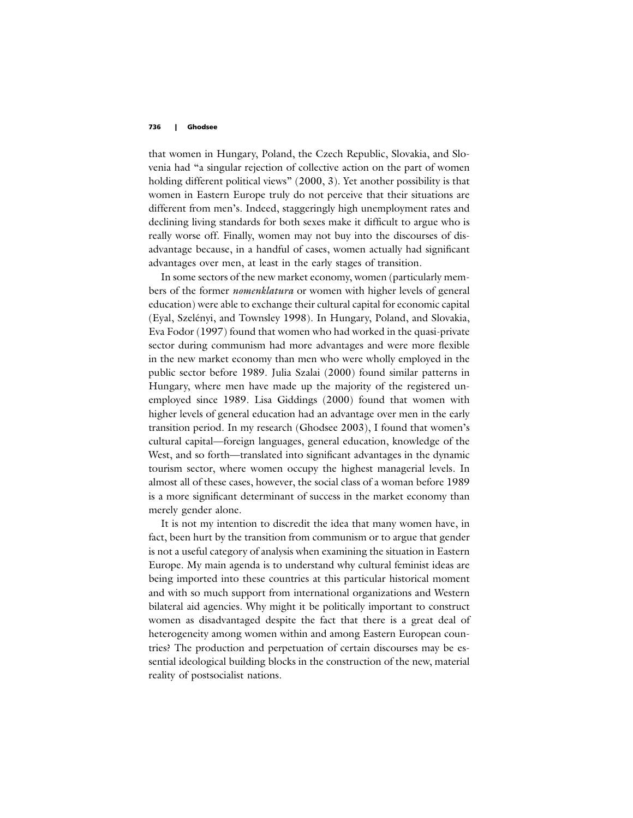that women in Hungary, Poland, the Czech Republic, Slovakia, and Slovenia had "a singular rejection of collective action on the part of women holding different political views" (2000, 3). Yet another possibility is that women in Eastern Europe truly do not perceive that their situations are different from men's. Indeed, staggeringly high unemployment rates and declining living standards for both sexes make it difficult to argue who is really worse off. Finally, women may not buy into the discourses of disadvantage because, in a handful of cases, women actually had significant advantages over men, at least in the early stages of transition.

In some sectors of the new market economy, women (particularly members of the former *nomenklatura* or women with higher levels of general education) were able to exchange their cultural capital for economic capital (Eyal, Szelényi, and Townsley 1998). In Hungary, Poland, and Slovakia, Eva Fodor (1997) found that women who had worked in the quasi-private sector during communism had more advantages and were more flexible in the new market economy than men who were wholly employed in the public sector before 1989. Julia Szalai (2000) found similar patterns in Hungary, where men have made up the majority of the registered unemployed since 1989. Lisa Giddings (2000) found that women with higher levels of general education had an advantage over men in the early transition period. In my research (Ghodsee 2003), I found that women's cultural capital—foreign languages, general education, knowledge of the West, and so forth—translated into significant advantages in the dynamic tourism sector, where women occupy the highest managerial levels. In almost all of these cases, however, the social class of a woman before 1989 is a more significant determinant of success in the market economy than merely gender alone.

It is not my intention to discredit the idea that many women have, in fact, been hurt by the transition from communism or to argue that gender is not a useful category of analysis when examining the situation in Eastern Europe. My main agenda is to understand why cultural feminist ideas are being imported into these countries at this particular historical moment and with so much support from international organizations and Western bilateral aid agencies. Why might it be politically important to construct women as disadvantaged despite the fact that there is a great deal of heterogeneity among women within and among Eastern European countries? The production and perpetuation of certain discourses may be essential ideological building blocks in the construction of the new, material reality of postsocialist nations.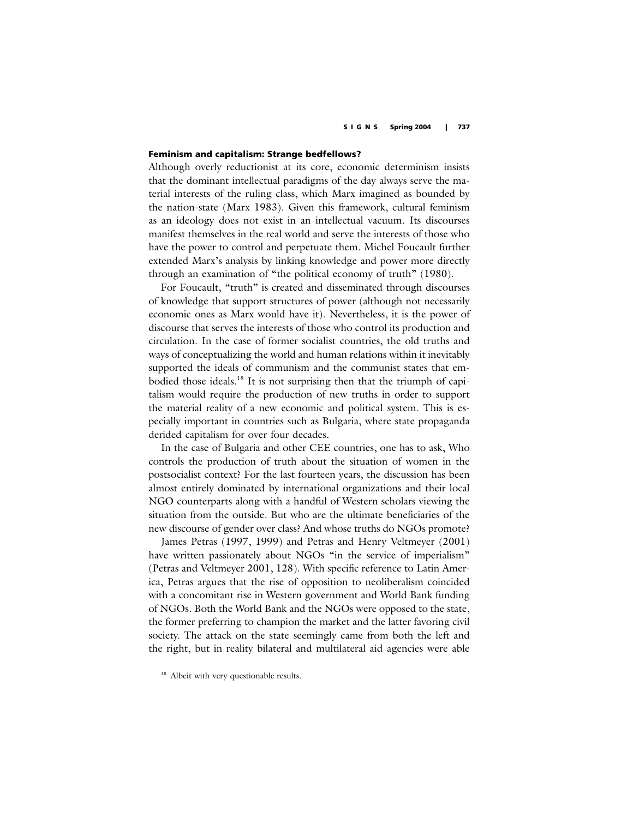# **Feminism and capitalism: Strange bedfellows?**

Although overly reductionist at its core, economic determinism insists that the dominant intellectual paradigms of the day always serve the material interests of the ruling class, which Marx imagined as bounded by the nation-state (Marx 1983). Given this framework, cultural feminism as an ideology does not exist in an intellectual vacuum. Its discourses manifest themselves in the real world and serve the interests of those who have the power to control and perpetuate them. Michel Foucault further extended Marx's analysis by linking knowledge and power more directly through an examination of "the political economy of truth" (1980).

For Foucault, "truth" is created and disseminated through discourses of knowledge that support structures of power (although not necessarily economic ones as Marx would have it). Nevertheless, it is the power of discourse that serves the interests of those who control its production and circulation. In the case of former socialist countries, the old truths and ways of conceptualizing the world and human relations within it inevitably supported the ideals of communism and the communist states that embodied those ideals.<sup>18</sup> It is not surprising then that the triumph of capitalism would require the production of new truths in order to support the material reality of a new economic and political system. This is especially important in countries such as Bulgaria, where state propaganda derided capitalism for over four decades.

In the case of Bulgaria and other CEE countries, one has to ask, Who controls the production of truth about the situation of women in the postsocialist context? For the last fourteen years, the discussion has been almost entirely dominated by international organizations and their local NGO counterparts along with a handful of Western scholars viewing the situation from the outside. But who are the ultimate beneficiaries of the new discourse of gender over class? And whose truths do NGOs promote?

James Petras (1997, 1999) and Petras and Henry Veltmeyer (2001) have written passionately about NGOs "in the service of imperialism" (Petras and Veltmeyer 2001, 128). With specific reference to Latin America, Petras argues that the rise of opposition to neoliberalism coincided with a concomitant rise in Western government and World Bank funding of NGOs. Both the World Bank and the NGOs were opposed to the state, the former preferring to champion the market and the latter favoring civil society. The attack on the state seemingly came from both the left and the right, but in reality bilateral and multilateral aid agencies were able

<sup>&</sup>lt;sup>18</sup> Albeit with very questionable results.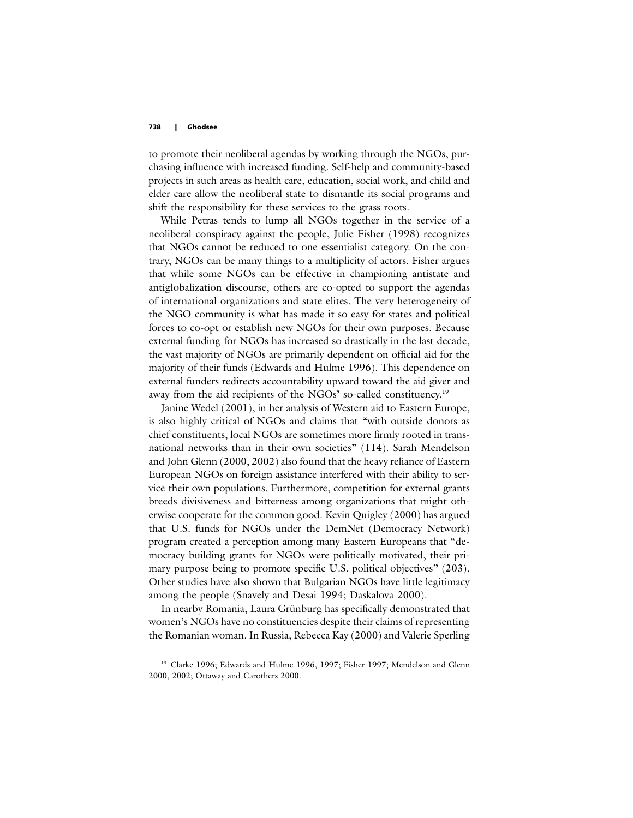to promote their neoliberal agendas by working through the NGOs, purchasing influence with increased funding. Self-help and community-based projects in such areas as health care, education, social work, and child and elder care allow the neoliberal state to dismantle its social programs and shift the responsibility for these services to the grass roots.

While Petras tends to lump all NGOs together in the service of a neoliberal conspiracy against the people, Julie Fisher (1998) recognizes that NGOs cannot be reduced to one essentialist category. On the contrary, NGOs can be many things to a multiplicity of actors. Fisher argues that while some NGOs can be effective in championing antistate and antiglobalization discourse, others are co-opted to support the agendas of international organizations and state elites. The very heterogeneity of the NGO community is what has made it so easy for states and political forces to co-opt or establish new NGOs for their own purposes. Because external funding for NGOs has increased so drastically in the last decade, the vast majority of NGOs are primarily dependent on official aid for the majority of their funds (Edwards and Hulme 1996). This dependence on external funders redirects accountability upward toward the aid giver and away from the aid recipients of the NGOs' so-called constituency.<sup>19</sup>

Janine Wedel (2001), in her analysis of Western aid to Eastern Europe, is also highly critical of NGOs and claims that "with outside donors as chief constituents, local NGOs are sometimes more firmly rooted in transnational networks than in their own societies" (114). Sarah Mendelson and John Glenn (2000, 2002) also found that the heavy reliance of Eastern European NGOs on foreign assistance interfered with their ability to service their own populations. Furthermore, competition for external grants breeds divisiveness and bitterness among organizations that might otherwise cooperate for the common good. Kevin Quigley (2000) has argued that U.S. funds for NGOs under the DemNet (Democracy Network) program created a perception among many Eastern Europeans that "democracy building grants for NGOs were politically motivated, their primary purpose being to promote specific U.S. political objectives" (203). Other studies have also shown that Bulgarian NGOs have little legitimacy among the people (Snavely and Desai 1994; Daskalova 2000).

In nearby Romania, Laura Grünburg has specifically demonstrated that women's NGOs have no constituencies despite their claims of representing the Romanian woman. In Russia, Rebecca Kay (2000) and Valerie Sperling

<sup>&</sup>lt;sup>19</sup> Clarke 1996; Edwards and Hulme 1996, 1997; Fisher 1997; Mendelson and Glenn 2000, 2002; Ottaway and Carothers 2000.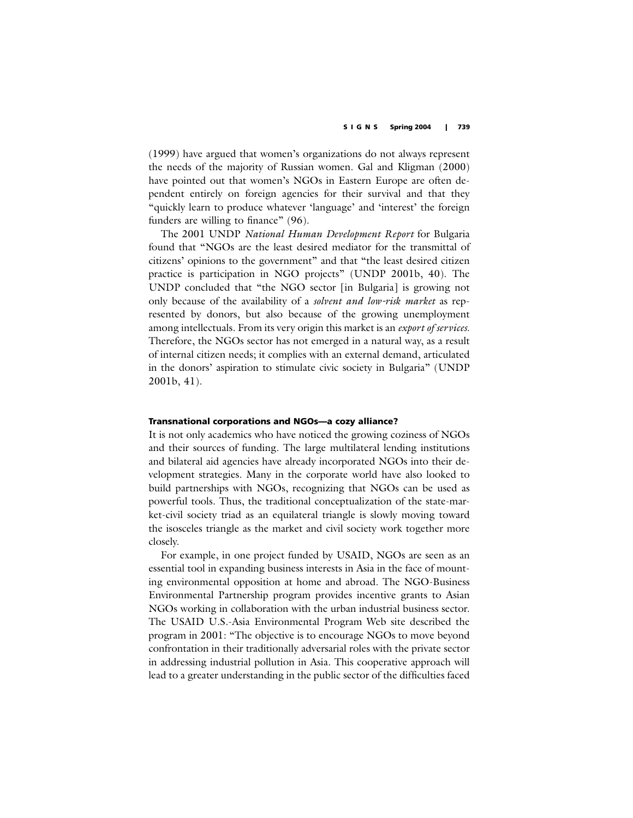(1999) have argued that women's organizations do not always represent the needs of the majority of Russian women. Gal and Kligman (2000) have pointed out that women's NGOs in Eastern Europe are often dependent entirely on foreign agencies for their survival and that they "quickly learn to produce whatever 'language' and 'interest' the foreign funders are willing to finance" (96).

The 2001 UNDP *National Human Development Report* for Bulgaria found that "NGOs are the least desired mediator for the transmittal of citizens' opinions to the government" and that "the least desired citizen practice is participation in NGO projects" (UNDP 2001b, 40). The UNDP concluded that "the NGO sector [in Bulgaria] is growing not only because of the availability of a *solvent and low-risk market* as represented by donors, but also because of the growing unemployment among intellectuals. From its very origin this market is an *export of services*. Therefore, the NGOs sector has not emerged in a natural way, as a result of internal citizen needs; it complies with an external demand, articulated in the donors' aspiration to stimulate civic society in Bulgaria" (UNDP 2001b, 41).

# **Transnational corporations and NGOs—a cozy alliance?**

It is not only academics who have noticed the growing coziness of NGOs and their sources of funding. The large multilateral lending institutions and bilateral aid agencies have already incorporated NGOs into their development strategies. Many in the corporate world have also looked to build partnerships with NGOs, recognizing that NGOs can be used as powerful tools. Thus, the traditional conceptualization of the state-market-civil society triad as an equilateral triangle is slowly moving toward the isosceles triangle as the market and civil society work together more closely.

For example, in one project funded by USAID, NGOs are seen as an essential tool in expanding business interests in Asia in the face of mounting environmental opposition at home and abroad. The NGO-Business Environmental Partnership program provides incentive grants to Asian NGOs working in collaboration with the urban industrial business sector. The USAID U.S.-Asia Environmental Program Web site described the program in 2001: "The objective is to encourage NGOs to move beyond confrontation in their traditionally adversarial roles with the private sector in addressing industrial pollution in Asia. This cooperative approach will lead to a greater understanding in the public sector of the difficulties faced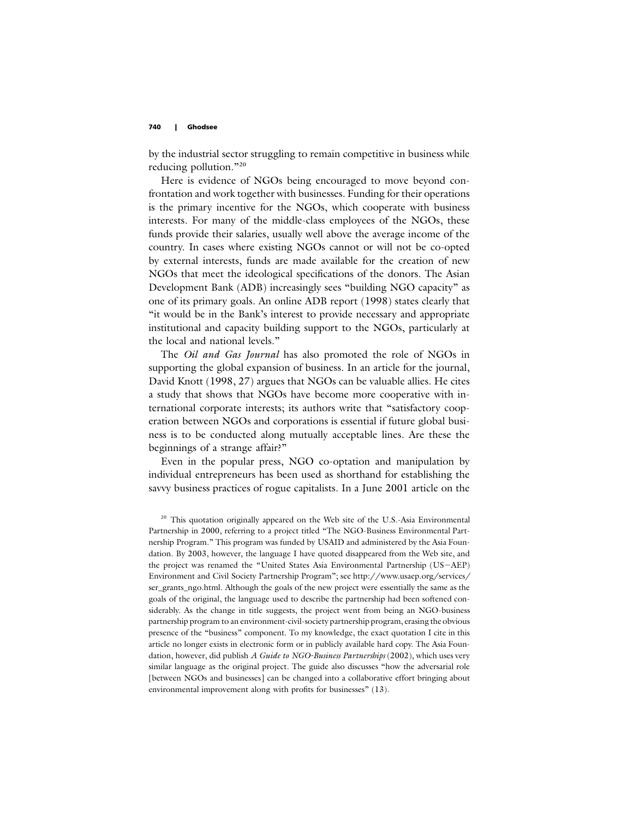by the industrial sector struggling to remain competitive in business while reducing pollution."<sup>20</sup>

Here is evidence of NGOs being encouraged to move beyond confrontation and work together with businesses. Funding for their operations is the primary incentive for the NGOs, which cooperate with business interests. For many of the middle-class employees of the NGOs, these funds provide their salaries, usually well above the average income of the country. In cases where existing NGOs cannot or will not be co-opted by external interests, funds are made available for the creation of new NGOs that meet the ideological specifications of the donors. The Asian Development Bank (ADB) increasingly sees "building NGO capacity" as one of its primary goals. An online ADB report (1998) states clearly that "it would be in the Bank's interest to provide necessary and appropriate institutional and capacity building support to the NGOs, particularly at the local and national levels."

The *Oil and Gas Journal* has also promoted the role of NGOs in supporting the global expansion of business. In an article for the journal, David Knott (1998, 27) argues that NGOs can be valuable allies. He cites a study that shows that NGOs have become more cooperative with international corporate interests; its authors write that "satisfactory cooperation between NGOs and corporations is essential if future global business is to be conducted along mutually acceptable lines. Are these the beginnings of a strange affair?"

Even in the popular press, NGO co-optation and manipulation by individual entrepreneurs has been used as shorthand for establishing the savvy business practices of rogue capitalists. In a June 2001 article on the

<sup>&</sup>lt;sup>20</sup> This quotation originally appeared on the Web site of the U.S.-Asia Environmental Partnership in 2000, referring to a project titled "The NGO-Business Environmental Partnership Program." This program was funded by USAID and administered by the Asia Foundation. By 2003, however, the language I have quoted disappeared from the Web site, and the project was renamed the "United States Asia Environmental Partnership (US-AEP) Environment and Civil Society Partnership Program"; see http://www.usaep.org/services/ ser\_grants\_ngo.html. Although the goals of the new project were essentially the same as the goals of the original, the language used to describe the partnership had been softened considerably. As the change in title suggests, the project went from being an NGO-business partnership program to an environment-civil-society partnership program, erasing the obvious presence of the "business" component. To my knowledge, the exact quotation I cite in this article no longer exists in electronic form or in publicly available hard copy. The Asia Foundation, however, did publish *A Guide to NGO-Business Partnerships* (2002), which uses very similar language as the original project. The guide also discusses "how the adversarial role [between NGOs and businesses] can be changed into a collaborative effort bringing about environmental improvement along with profits for businesses" (13).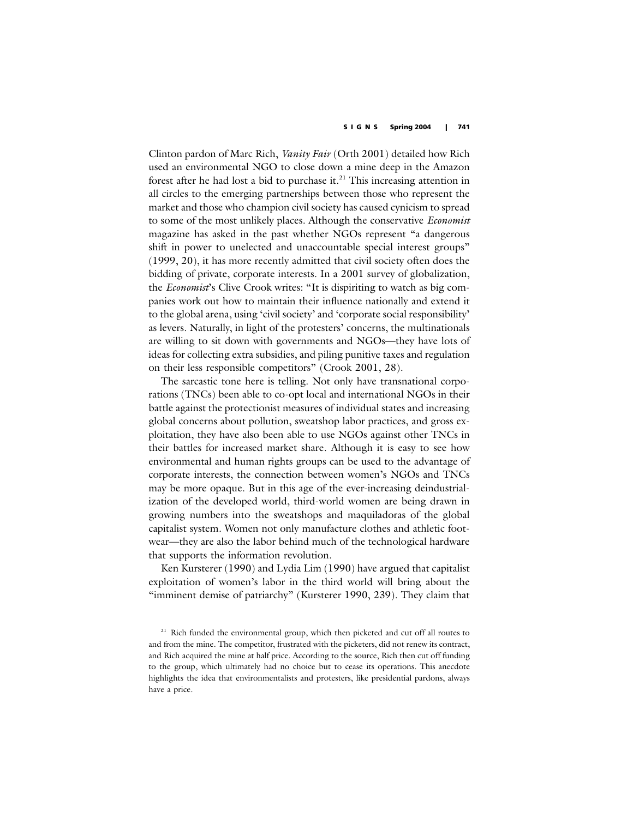Clinton pardon of Marc Rich, *Vanity Fair* (Orth 2001) detailed how Rich used an environmental NGO to close down a mine deep in the Amazon forest after he had lost a bid to purchase it.<sup>21</sup> This increasing attention in all circles to the emerging partnerships between those who represent the market and those who champion civil society has caused cynicism to spread to some of the most unlikely places. Although the conservative *Economist* magazine has asked in the past whether NGOs represent "a dangerous shift in power to unelected and unaccountable special interest groups" (1999, 20), it has more recently admitted that civil society often does the bidding of private, corporate interests. In a 2001 survey of globalization, the *Economist*'s Clive Crook writes: "It is dispiriting to watch as big companies work out how to maintain their influence nationally and extend it to the global arena, using 'civil society' and 'corporate social responsibility' as levers. Naturally, in light of the protesters' concerns, the multinationals are willing to sit down with governments and NGOs—they have lots of ideas for collecting extra subsidies, and piling punitive taxes and regulation on their less responsible competitors" (Crook 2001, 28).

The sarcastic tone here is telling. Not only have transnational corporations (TNCs) been able to co-opt local and international NGOs in their battle against the protectionist measures of individual states and increasing global concerns about pollution, sweatshop labor practices, and gross exploitation, they have also been able to use NGOs against other TNCs in their battles for increased market share. Although it is easy to see how environmental and human rights groups can be used to the advantage of corporate interests, the connection between women's NGOs and TNCs may be more opaque. But in this age of the ever-increasing deindustrialization of the developed world, third-world women are being drawn in growing numbers into the sweatshops and maquiladoras of the global capitalist system. Women not only manufacture clothes and athletic footwear—they are also the labor behind much of the technological hardware that supports the information revolution.

Ken Kursterer (1990) and Lydia Lim (1990) have argued that capitalist exploitation of women's labor in the third world will bring about the "imminent demise of patriarchy" (Kursterer 1990, 239). They claim that

<sup>&</sup>lt;sup>21</sup> Rich funded the environmental group, which then picketed and cut off all routes to and from the mine. The competitor, frustrated with the picketers, did not renew its contract, and Rich acquired the mine at half price. According to the source, Rich then cut off funding to the group, which ultimately had no choice but to cease its operations. This anecdote highlights the idea that environmentalists and protesters, like presidential pardons, always have a price.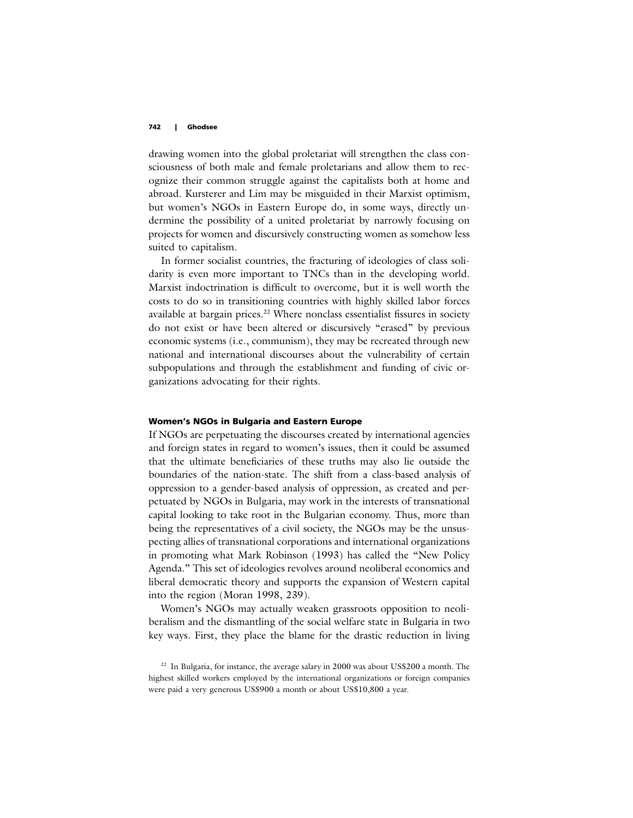drawing women into the global proletariat will strengthen the class consciousness of both male and female proletarians and allow them to recognize their common struggle against the capitalists both at home and abroad. Kursterer and Lim may be misguided in their Marxist optimism, but women's NGOs in Eastern Europe do, in some ways, directly undermine the possibility of a united proletariat by narrowly focusing on projects for women and discursively constructing women as somehow less suited to capitalism.

In former socialist countries, the fracturing of ideologies of class solidarity is even more important to TNCs than in the developing world. Marxist indoctrination is difficult to overcome, but it is well worth the costs to do so in transitioning countries with highly skilled labor forces available at bargain prices.<sup>22</sup> Where nonclass essentialist fissures in society do not exist or have been altered or discursively "erased" by previous economic systems (i.e., communism), they may be recreated through new national and international discourses about the vulnerability of certain subpopulations and through the establishment and funding of civic organizations advocating for their rights.

### **Women's NGOs in Bulgaria and Eastern Europe**

If NGOs are perpetuating the discourses created by international agencies and foreign states in regard to women's issues, then it could be assumed that the ultimate beneficiaries of these truths may also lie outside the boundaries of the nation-state. The shift from a class-based analysis of oppression to a gender-based analysis of oppression, as created and perpetuated by NGOs in Bulgaria, may work in the interests of transnational capital looking to take root in the Bulgarian economy. Thus, more than being the representatives of a civil society, the NGOs may be the unsuspecting allies of transnational corporations and international organizations in promoting what Mark Robinson (1993) has called the "New Policy Agenda." This set of ideologies revolves around neoliberal economics and liberal democratic theory and supports the expansion of Western capital into the region (Moran 1998, 239).

Women's NGOs may actually weaken grassroots opposition to neoliberalism and the dismantling of the social welfare state in Bulgaria in two key ways. First, they place the blame for the drastic reduction in living

<sup>&</sup>lt;sup>22</sup> In Bulgaria, for instance, the average salary in 2000 was about US\$200 a month. The highest skilled workers employed by the international organizations or foreign companies were paid a very generous US\$900 a month or about US\$10,800 a year.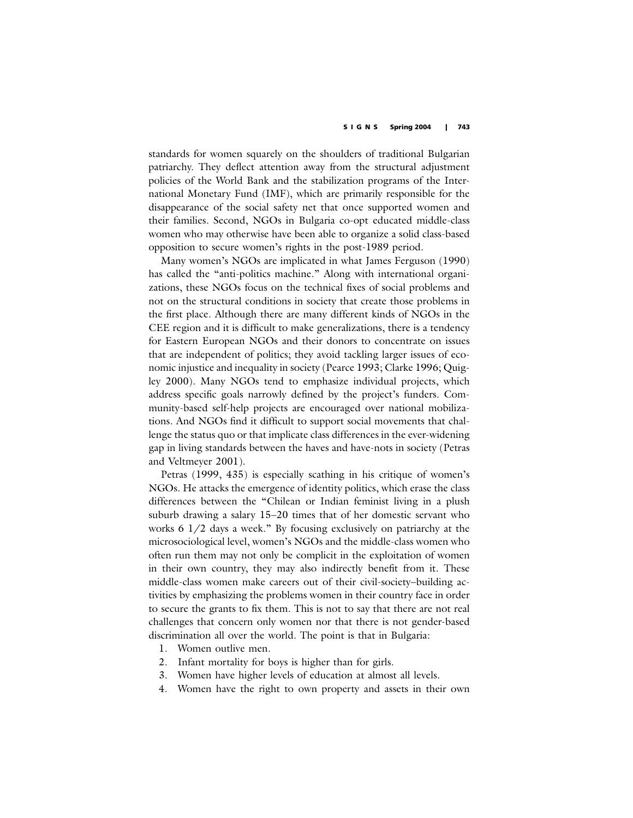standards for women squarely on the shoulders of traditional Bulgarian patriarchy. They deflect attention away from the structural adjustment policies of the World Bank and the stabilization programs of the International Monetary Fund (IMF), which are primarily responsible for the disappearance of the social safety net that once supported women and their families. Second, NGOs in Bulgaria co-opt educated middle-class women who may otherwise have been able to organize a solid class-based opposition to secure women's rights in the post-1989 period.

Many women's NGOs are implicated in what James Ferguson (1990) has called the "anti-politics machine." Along with international organizations, these NGOs focus on the technical fixes of social problems and not on the structural conditions in society that create those problems in the first place. Although there are many different kinds of NGOs in the CEE region and it is difficult to make generalizations, there is a tendency for Eastern European NGOs and their donors to concentrate on issues that are independent of politics; they avoid tackling larger issues of economic injustice and inequality in society (Pearce 1993; Clarke 1996; Quigley 2000). Many NGOs tend to emphasize individual projects, which address specific goals narrowly defined by the project's funders. Community-based self-help projects are encouraged over national mobilizations. And NGOs find it difficult to support social movements that challenge the status quo or that implicate class differences in the ever-widening gap in living standards between the haves and have-nots in society (Petras and Veltmeyer 2001).

Petras (1999, 435) is especially scathing in his critique of women's NGOs. He attacks the emergence of identity politics, which erase the class differences between the "Chilean or Indian feminist living in a plush suburb drawing a salary 15–20 times that of her domestic servant who works 6 1/2 days a week." By focusing exclusively on patriarchy at the microsociological level, women's NGOs and the middle-class women who often run them may not only be complicit in the exploitation of women in their own country, they may also indirectly benefit from it. These middle-class women make careers out of their civil-society–building activities by emphasizing the problems women in their country face in order to secure the grants to fix them. This is not to say that there are not real challenges that concern only women nor that there is not gender-based discrimination all over the world. The point is that in Bulgaria:

- 1. Women outlive men.
- 2. Infant mortality for boys is higher than for girls.
- 3. Women have higher levels of education at almost all levels.
- 4. Women have the right to own property and assets in their own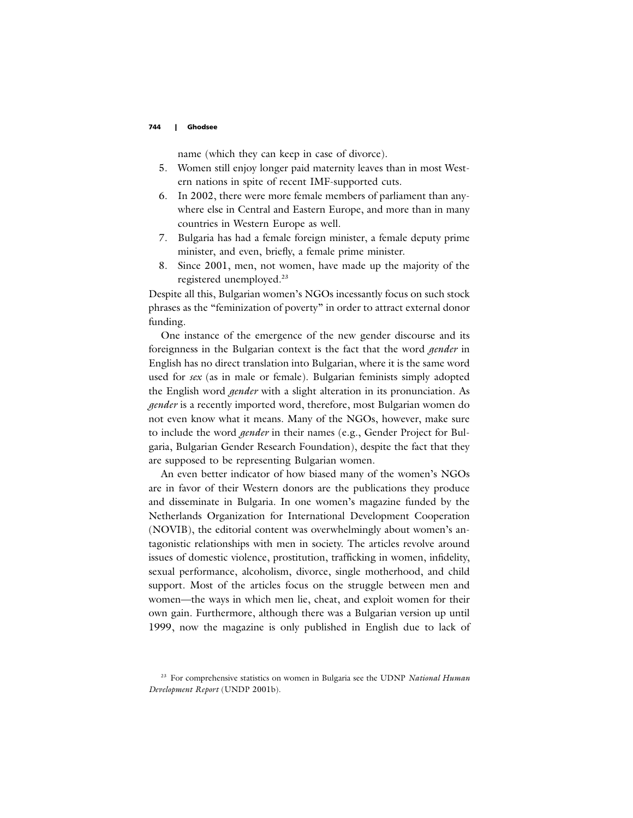name (which they can keep in case of divorce).

- 5. Women still enjoy longer paid maternity leaves than in most Western nations in spite of recent IMF-supported cuts.
- 6. In 2002, there were more female members of parliament than anywhere else in Central and Eastern Europe, and more than in many countries in Western Europe as well.
- 7. Bulgaria has had a female foreign minister, a female deputy prime minister, and even, briefly, a female prime minister.
- 8. Since 2001, men, not women, have made up the majority of the registered unemployed.<sup>23</sup>

Despite all this, Bulgarian women's NGOs incessantly focus on such stock phrases as the "feminization of poverty" in order to attract external donor funding.

One instance of the emergence of the new gender discourse and its foreignness in the Bulgarian context is the fact that the word *gender* in English has no direct translation into Bulgarian, where it is the same word used for *sex* (as in male or female). Bulgarian feminists simply adopted the English word *gender* with a slight alteration in its pronunciation. As *gender* is a recently imported word, therefore, most Bulgarian women do not even know what it means. Many of the NGOs, however, make sure to include the word *gender* in their names (e.g., Gender Project for Bulgaria, Bulgarian Gender Research Foundation), despite the fact that they are supposed to be representing Bulgarian women.

An even better indicator of how biased many of the women's NGOs are in favor of their Western donors are the publications they produce and disseminate in Bulgaria. In one women's magazine funded by the Netherlands Organization for International Development Cooperation (NOVIB), the editorial content was overwhelmingly about women's antagonistic relationships with men in society. The articles revolve around issues of domestic violence, prostitution, trafficking in women, infidelity, sexual performance, alcoholism, divorce, single motherhood, and child support. Most of the articles focus on the struggle between men and women—the ways in which men lie, cheat, and exploit women for their own gain. Furthermore, although there was a Bulgarian version up until 1999, now the magazine is only published in English due to lack of

<sup>23</sup> For comprehensive statistics on women in Bulgaria see the UDNP *National Human Development Report* (UNDP 2001b).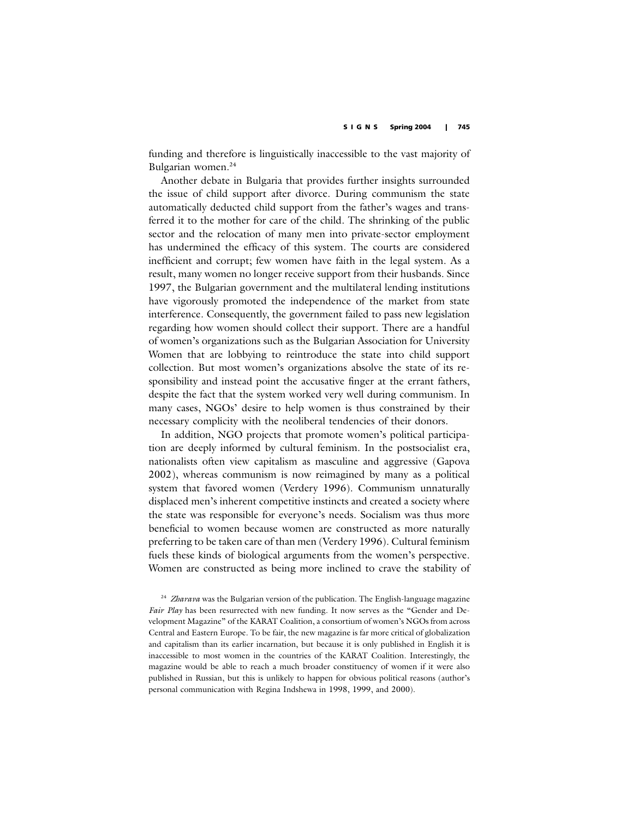funding and therefore is linguistically inaccessible to the vast majority of Bulgarian women.<sup>24</sup>

Another debate in Bulgaria that provides further insights surrounded the issue of child support after divorce. During communism the state automatically deducted child support from the father's wages and transferred it to the mother for care of the child. The shrinking of the public sector and the relocation of many men into private-sector employment has undermined the efficacy of this system. The courts are considered inefficient and corrupt; few women have faith in the legal system. As a result, many women no longer receive support from their husbands. Since 1997, the Bulgarian government and the multilateral lending institutions have vigorously promoted the independence of the market from state interference. Consequently, the government failed to pass new legislation regarding how women should collect their support. There are a handful of women's organizations such as the Bulgarian Association for University Women that are lobbying to reintroduce the state into child support collection. But most women's organizations absolve the state of its responsibility and instead point the accusative finger at the errant fathers, despite the fact that the system worked very well during communism. In many cases, NGOs' desire to help women is thus constrained by their necessary complicity with the neoliberal tendencies of their donors.

In addition, NGO projects that promote women's political participation are deeply informed by cultural feminism. In the postsocialist era, nationalists often view capitalism as masculine and aggressive (Gapova 2002), whereas communism is now reimagined by many as a political system that favored women (Verdery 1996). Communism unnaturally displaced men's inherent competitive instincts and created a society where the state was responsible for everyone's needs. Socialism was thus more beneficial to women because women are constructed as more naturally preferring to be taken care of than men (Verdery 1996). Cultural feminism fuels these kinds of biological arguments from the women's perspective. Women are constructed as being more inclined to crave the stability of

<sup>24</sup> *Zharava* was the Bulgarian version of the publication. The English-language magazine *Fair Play* has been resurrected with new funding. It now serves as the "Gender and Development Magazine" of the KARAT Coalition, a consortium of women's NGOs from across Central and Eastern Europe. To be fair, the new magazine is far more critical of globalization and capitalism than its earlier incarnation, but because it is only published in English it is inaccessible to most women in the countries of the KARAT Coalition. Interestingly, the magazine would be able to reach a much broader constituency of women if it were also published in Russian, but this is unlikely to happen for obvious political reasons (author's personal communication with Regina Indshewa in 1998, 1999, and 2000).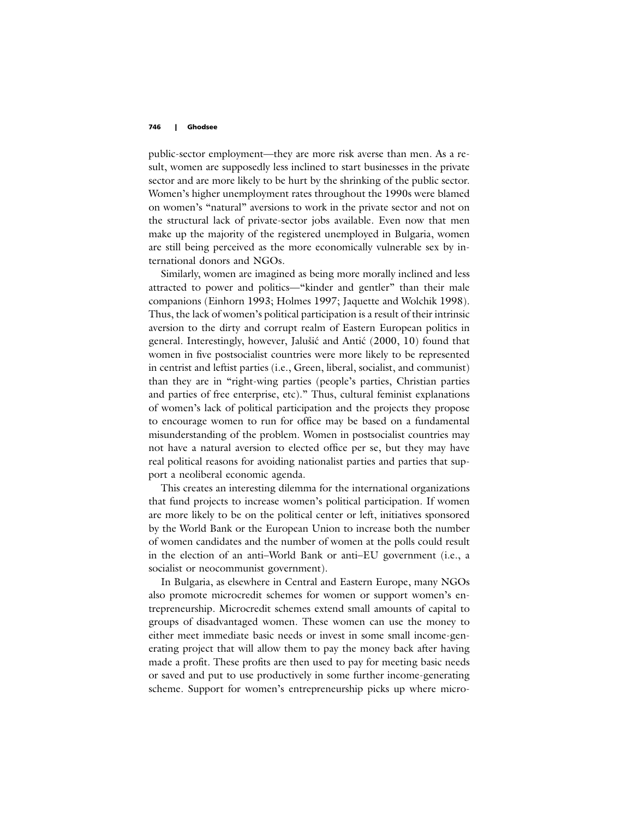public-sector employment—they are more risk averse than men. As a result, women are supposedly less inclined to start businesses in the private sector and are more likely to be hurt by the shrinking of the public sector. Women's higher unemployment rates throughout the 1990s were blamed on women's "natural" aversions to work in the private sector and not on the structural lack of private-sector jobs available. Even now that men make up the majority of the registered unemployed in Bulgaria, women are still being perceived as the more economically vulnerable sex by international donors and NGOs.

Similarly, women are imagined as being more morally inclined and less attracted to power and politics—"kinder and gentler" than their male companions (Einhorn 1993; Holmes 1997; Jaquette and Wolchik 1998). Thus, the lack of women's political participation is a result of their intrinsic aversion to the dirty and corrupt realm of Eastern European politics in general. Interestingly, however, Jalušić and Antić (2000, 10) found that women in five postsocialist countries were more likely to be represented in centrist and leftist parties (i.e., Green, liberal, socialist, and communist) than they are in "right-wing parties (people's parties, Christian parties and parties of free enterprise, etc)." Thus, cultural feminist explanations of women's lack of political participation and the projects they propose to encourage women to run for office may be based on a fundamental misunderstanding of the problem. Women in postsocialist countries may not have a natural aversion to elected office per se, but they may have real political reasons for avoiding nationalist parties and parties that support a neoliberal economic agenda.

This creates an interesting dilemma for the international organizations that fund projects to increase women's political participation. If women are more likely to be on the political center or left, initiatives sponsored by the World Bank or the European Union to increase both the number of women candidates and the number of women at the polls could result in the election of an anti–World Bank or anti–EU government (i.e., a socialist or neocommunist government).

In Bulgaria, as elsewhere in Central and Eastern Europe, many NGOs also promote microcredit schemes for women or support women's entrepreneurship. Microcredit schemes extend small amounts of capital to groups of disadvantaged women. These women can use the money to either meet immediate basic needs or invest in some small income-generating project that will allow them to pay the money back after having made a profit. These profits are then used to pay for meeting basic needs or saved and put to use productively in some further income-generating scheme. Support for women's entrepreneurship picks up where micro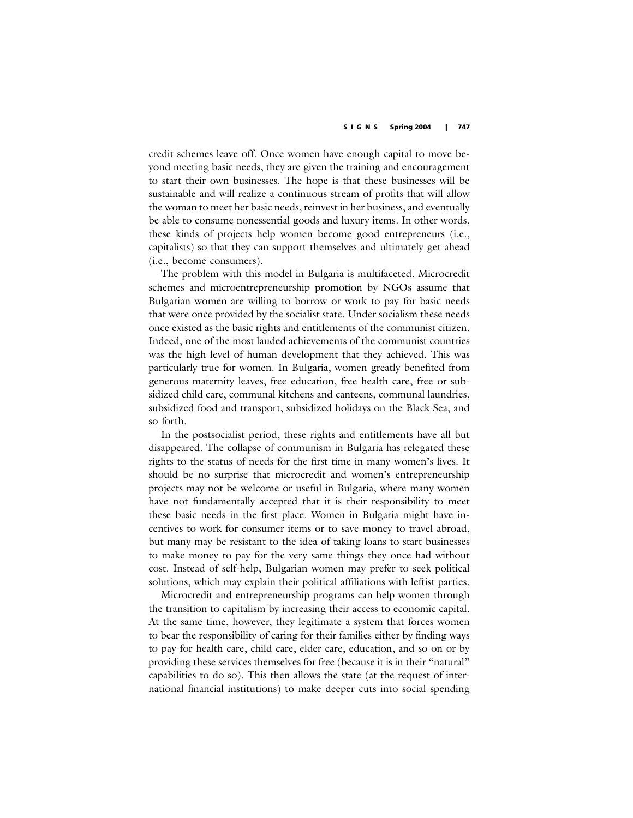credit schemes leave off. Once women have enough capital to move beyond meeting basic needs, they are given the training and encouragement to start their own businesses. The hope is that these businesses will be sustainable and will realize a continuous stream of profits that will allow the woman to meet her basic needs, reinvest in her business, and eventually be able to consume nonessential goods and luxury items. In other words, these kinds of projects help women become good entrepreneurs (i.e., capitalists) so that they can support themselves and ultimately get ahead (i.e., become consumers).

The problem with this model in Bulgaria is multifaceted. Microcredit schemes and microentrepreneurship promotion by NGOs assume that Bulgarian women are willing to borrow or work to pay for basic needs that were once provided by the socialist state. Under socialism these needs once existed as the basic rights and entitlements of the communist citizen. Indeed, one of the most lauded achievements of the communist countries was the high level of human development that they achieved. This was particularly true for women. In Bulgaria, women greatly benefited from generous maternity leaves, free education, free health care, free or subsidized child care, communal kitchens and canteens, communal laundries, subsidized food and transport, subsidized holidays on the Black Sea, and so forth.

In the postsocialist period, these rights and entitlements have all but disappeared. The collapse of communism in Bulgaria has relegated these rights to the status of needs for the first time in many women's lives. It should be no surprise that microcredit and women's entrepreneurship projects may not be welcome or useful in Bulgaria, where many women have not fundamentally accepted that it is their responsibility to meet these basic needs in the first place. Women in Bulgaria might have incentives to work for consumer items or to save money to travel abroad, but many may be resistant to the idea of taking loans to start businesses to make money to pay for the very same things they once had without cost. Instead of self-help, Bulgarian women may prefer to seek political solutions, which may explain their political affiliations with leftist parties.

Microcredit and entrepreneurship programs can help women through the transition to capitalism by increasing their access to economic capital. At the same time, however, they legitimate a system that forces women to bear the responsibility of caring for their families either by finding ways to pay for health care, child care, elder care, education, and so on or by providing these services themselves for free (because it is in their "natural" capabilities to do so). This then allows the state (at the request of international financial institutions) to make deeper cuts into social spending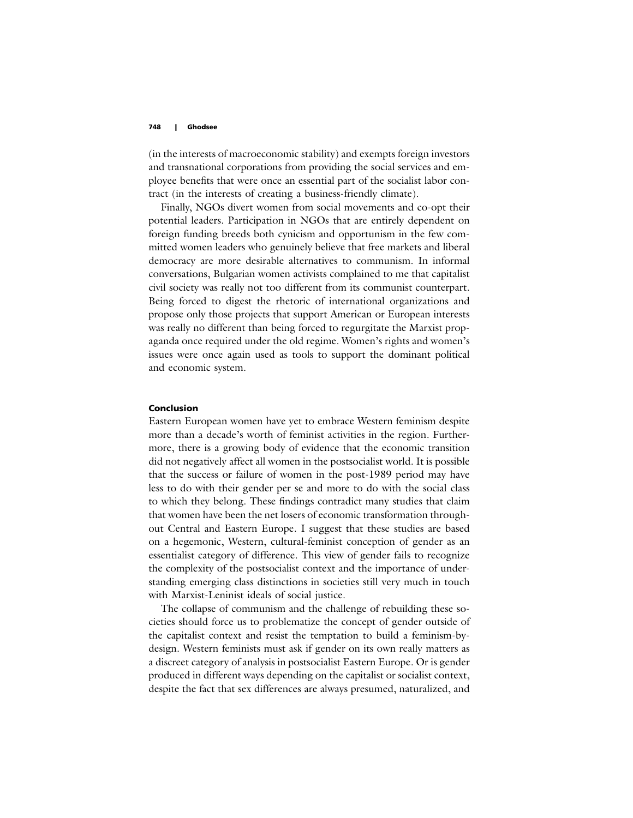(in the interests of macroeconomic stability) and exempts foreign investors and transnational corporations from providing the social services and employee benefits that were once an essential part of the socialist labor contract (in the interests of creating a business-friendly climate).

Finally, NGOs divert women from social movements and co-opt their potential leaders. Participation in NGOs that are entirely dependent on foreign funding breeds both cynicism and opportunism in the few committed women leaders who genuinely believe that free markets and liberal democracy are more desirable alternatives to communism. In informal conversations, Bulgarian women activists complained to me that capitalist civil society was really not too different from its communist counterpart. Being forced to digest the rhetoric of international organizations and propose only those projects that support American or European interests was really no different than being forced to regurgitate the Marxist propaganda once required under the old regime. Women's rights and women's issues were once again used as tools to support the dominant political and economic system.

### **Conclusion**

Eastern European women have yet to embrace Western feminism despite more than a decade's worth of feminist activities in the region. Furthermore, there is a growing body of evidence that the economic transition did not negatively affect all women in the postsocialist world. It is possible that the success or failure of women in the post-1989 period may have less to do with their gender per se and more to do with the social class to which they belong. These findings contradict many studies that claim that women have been the net losers of economic transformation throughout Central and Eastern Europe. I suggest that these studies are based on a hegemonic, Western, cultural-feminist conception of gender as an essentialist category of difference. This view of gender fails to recognize the complexity of the postsocialist context and the importance of understanding emerging class distinctions in societies still very much in touch with Marxist-Leninist ideals of social justice.

The collapse of communism and the challenge of rebuilding these societies should force us to problematize the concept of gender outside of the capitalist context and resist the temptation to build a feminism-bydesign. Western feminists must ask if gender on its own really matters as a discreet category of analysis in postsocialist Eastern Europe. Or is gender produced in different ways depending on the capitalist or socialist context, despite the fact that sex differences are always presumed, naturalized, and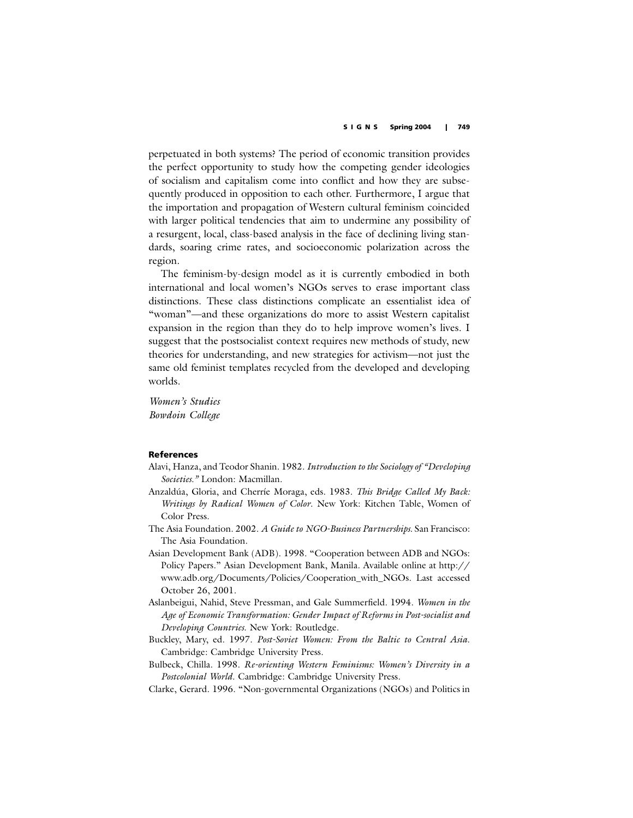perpetuated in both systems? The period of economic transition provides the perfect opportunity to study how the competing gender ideologies of socialism and capitalism come into conflict and how they are subsequently produced in opposition to each other. Furthermore, I argue that the importation and propagation of Western cultural feminism coincided with larger political tendencies that aim to undermine any possibility of a resurgent, local, class-based analysis in the face of declining living standards, soaring crime rates, and socioeconomic polarization across the region.

The feminism-by-design model as it is currently embodied in both international and local women's NGOs serves to erase important class distinctions. These class distinctions complicate an essentialist idea of "woman"—and these organizations do more to assist Western capitalist expansion in the region than they do to help improve women's lives. I suggest that the postsocialist context requires new methods of study, new theories for understanding, and new strategies for activism—not just the same old feminist templates recycled from the developed and developing worlds.

*Women's Studies Bowdoin College*

### **References**

- Alavi, Hanza, and Teodor Shanin. 1982. *Introduction to the Sociology of "Developing Societies."* London: Macmillan.
- Anzaldúa, Gloria, and Cherríe Moraga, eds. 1983. This Bridge Called My Back: *Writings by Radical Women of Color*. New York: Kitchen Table, Women of Color Press.
- The Asia Foundation. 2002. *A Guide to NGO-Business Partnerships*. San Francisco: The Asia Foundation.
- Asian Development Bank (ADB). 1998. "Cooperation between ADB and NGOs: Policy Papers." Asian Development Bank, Manila. Available online at http:// www.adb.org/Documents/Policies/Cooperation\_with\_NGOs. Last accessed October 26, 2001.
- Aslanbeigui, Nahid, Steve Pressman, and Gale Summerfield. 1994. *Women in the Age of Economic Transformation: Gender Impact of Reforms in Post-socialist and Developing Countries*. New York: Routledge.
- Buckley, Mary, ed. 1997. *Post-Soviet Women: From the Baltic to Central Asia*. Cambridge: Cambridge University Press.
- Bulbeck, Chilla. 1998. *Re-orienting Western Feminisms: Women's Diversity in a Postcolonial World*. Cambridge: Cambridge University Press.
- Clarke, Gerard. 1996. "Non-governmental Organizations (NGOs) and Politics in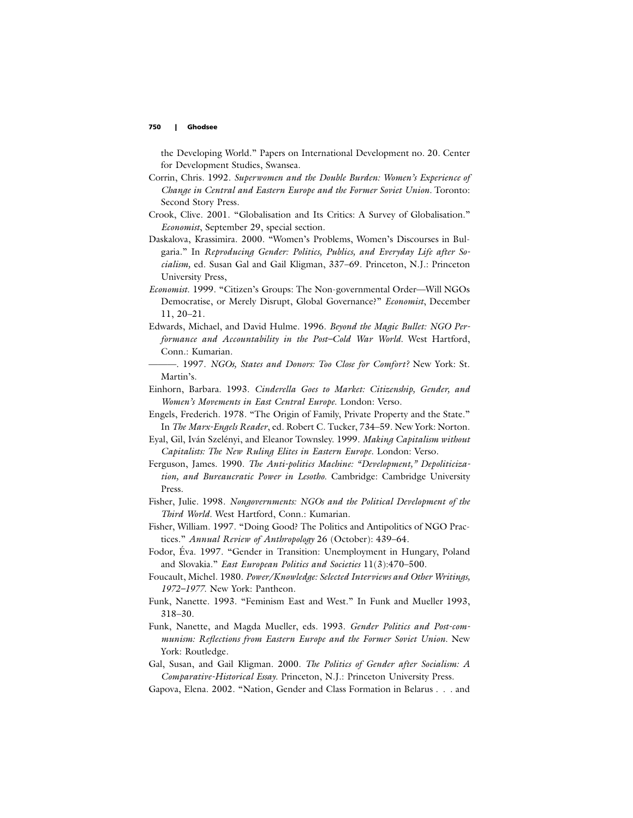the Developing World." Papers on International Development no. 20. Center for Development Studies, Swansea.

- Corrin, Chris. 1992. *Superwomen and the Double Burden: Women's Experience of Change in Central and Eastern Europe and the Former Soviet Union*. Toronto: Second Story Press.
- Crook, Clive. 2001. "Globalisation and Its Critics: A Survey of Globalisation." *Economist*, September 29, special section.
- Daskalova, Krassimira. 2000. "Women's Problems, Women's Discourses in Bulgaria." In *Reproducing Gender: Politics, Publics, and Everyday Life after Socialism,* ed. Susan Gal and Gail Kligman, 337–69. Princeton, N.J.: Princeton University Press,
- *Economist*. 1999. "Citizen's Groups: The Non-governmental Order—Will NGOs Democratise, or Merely Disrupt, Global Governance?" *Economist*, December 11, 20–21.
- Edwards, Michael, and David Hulme. 1996. *Beyond the Magic Bullet: NGO Performance and Accountability in the Post–Cold War World*. West Hartford, Conn.: Kumarian.
- ———. 1997. *NGOs, States and Donors: Too Close for Comfort?* New York: St. Martin's.
- Einhorn, Barbara. 1993. *Cinderella Goes to Market: Citizenship, Gender, and Women's Movements in East Central Europe*. London: Verso.
- Engels, Frederich. 1978. "The Origin of Family, Private Property and the State." In *The Marx-Engels Reader*, ed. Robert C. Tucker, 734–59. New York: Norton.
- Eyal, Gil, Iva´n Szele´nyi, and Eleanor Townsley. 1999. *Making Capitalism without Capitalists: The New Ruling Elites in Eastern Europe*. London: Verso.
- Ferguson, James. 1990. *The Anti-politics Machine: "Development," Depoliticization, and Bureaucratic Power in Lesotho*. Cambridge: Cambridge University Press.
- Fisher, Julie. 1998. *Nongovernments: NGOs and the Political Development of the Third World*. West Hartford, Conn.: Kumarian.
- Fisher, William. 1997. "Doing Good? The Politics and Antipolitics of NGO Practices." *Annual Review of Anthropology* 26 (October): 439–64.
- Fodor, Éva. 1997. "Gender in Transition: Unemployment in Hungary, Poland and Slovakia." *East European Politics and Societies* 11(3):470–500.
- Foucault, Michel. 1980. *Power/Knowledge: Selected Interviews and Other Writings, 1972–1977*. New York: Pantheon.
- Funk, Nanette. 1993. "Feminism East and West." In Funk and Mueller 1993, 318–30.
- Funk, Nanette, and Magda Mueller, eds. 1993. *Gender Politics and Post-communism: Reflections from Eastern Europe and the Former Soviet Union*. New York: Routledge.
- Gal, Susan, and Gail Kligman. 2000. *The Politics of Gender after Socialism: A Comparative-Historical Essay*. Princeton, N.J.: Princeton University Press.
- Gapova, Elena. 2002. "Nation, Gender and Class Formation in Belarus . . . and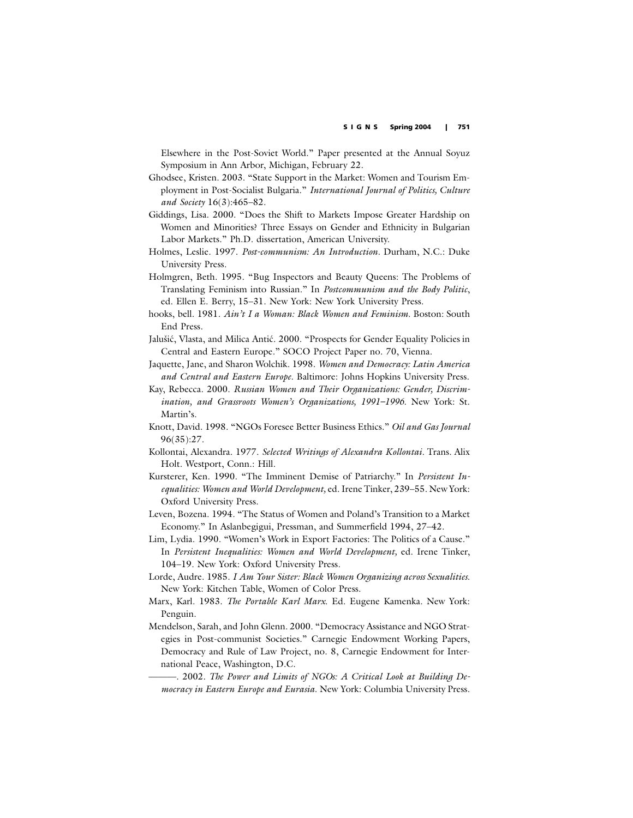Elsewhere in the Post-Soviet World." Paper presented at the Annual Soyuz Symposium in Ann Arbor, Michigan, February 22.

- Ghodsee, Kristen. 2003. "State Support in the Market: Women and Tourism Employment in Post-Socialist Bulgaria." *International Journal of Politics, Culture and Society* 16(3):465–82.
- Giddings, Lisa. 2000. "Does the Shift to Markets Impose Greater Hardship on Women and Minorities? Three Essays on Gender and Ethnicity in Bulgarian Labor Markets." Ph.D. dissertation, American University.
- Holmes, Leslie. 1997. *Post-communism: An Introduction.* Durham, N.C.: Duke University Press.
- Holmgren, Beth. 1995. "Bug Inspectors and Beauty Queens: The Problems of Translating Feminism into Russian." In *Postcommunism and the Body Politic*, ed. Ellen E. Berry, 15–31. New York: New York University Press.
- hooks, bell. 1981. *Ain't I a Woman: Black Women and Feminism*. Boston: South End Press.
- Jalušić, Vlasta, and Milica Antić. 2000. "Prospects for Gender Equality Policies in Central and Eastern Europe." SOCO Project Paper no. 70, Vienna.
- Jaquette, Jane, and Sharon Wolchik. 1998. *Women and Democracy: Latin America and Central and Eastern Europe*. Baltimore: Johns Hopkins University Press.
- Kay, Rebecca. 2000. *Russian Women and Their Organizations: Gender, Discrimination, and Grassroots Women's Organizations, 1991–1996*. New York: St. Martin's.
- Knott, David. 1998. "NGOs Foresee Better Business Ethics." *Oil and Gas Journal* 96(35):27.
- Kollontai, Alexandra. 1977. *Selected Writings of Alexandra Kollontai*. Trans. Alix Holt. Westport, Conn.: Hill.
- Kursterer, Ken. 1990. "The Imminent Demise of Patriarchy." In *Persistent Inequalities: Women and World Development,* ed. Irene Tinker, 239–55. New York: Oxford University Press.
- Leven, Bozena. 1994. "The Status of Women and Poland's Transition to a Market Economy." In Aslanbegigui, Pressman, and Summerfield 1994, 27–42.
- Lim, Lydia. 1990. "Women's Work in Export Factories: The Politics of a Cause." In *Persistent Inequalities: Women and World Development,* ed. Irene Tinker, 104–19. New York: Oxford University Press.
- Lorde, Audre. 1985. *I Am Your Sister: Black Women Organizing across Sexualities*. New York: Kitchen Table, Women of Color Press.
- Marx, Karl. 1983. *The Portable Karl Marx*. Ed. Eugene Kamenka. New York: Penguin.
- Mendelson, Sarah, and John Glenn. 2000. "Democracy Assistance and NGO Strategies in Post-communist Societies." Carnegie Endowment Working Papers, Democracy and Rule of Law Project, no. 8, Carnegie Endowment for International Peace, Washington, D.C.
- -. 2002. The Power and Limits of NGOs: A Critical Look at Building De*mocracy in Eastern Europe and Eurasia*. New York: Columbia University Press.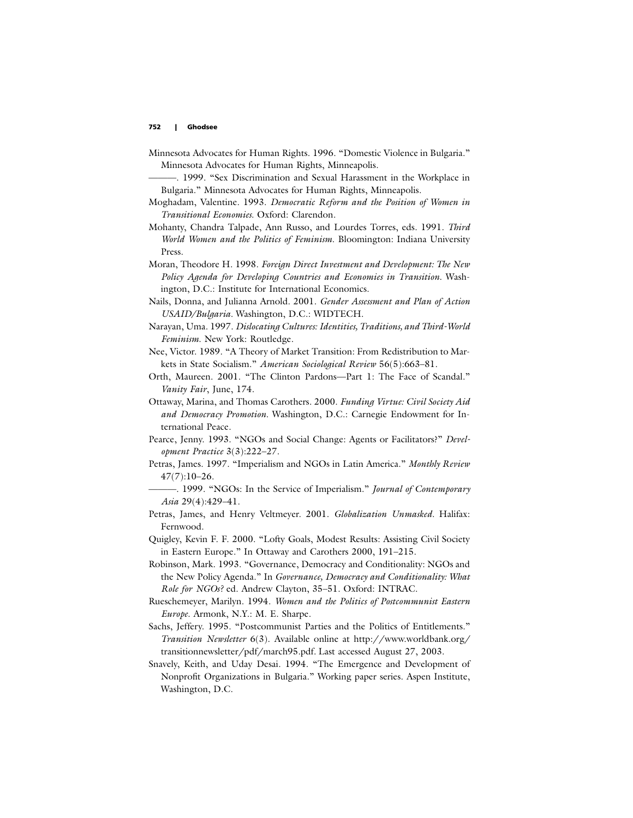- Minnesota Advocates for Human Rights. 1996. "Domestic Violence in Bulgaria." Minnesota Advocates for Human Rights, Minneapolis.
- ———. 1999. "Sex Discrimination and Sexual Harassment in the Workplace in Bulgaria." Minnesota Advocates for Human Rights, Minneapolis.
- Moghadam, Valentine. 1993. *Democratic Reform and the Position of Women in Transitional Economies*. Oxford: Clarendon.
- Mohanty, Chandra Talpade, Ann Russo, and Lourdes Torres, eds. 1991. *Third World Women and the Politics of Feminism*. Bloomington: Indiana University Press.
- Moran, Theodore H. 1998. *Foreign Direct Investment and Development: The New Policy Agenda for Developing Countries and Economies in Transition*. Washington, D.C.: Institute for International Economics.
- Nails, Donna, and Julianna Arnold. 2001. *Gender Assessment and Plan of Action USAID/Bulgaria.* Washington, D.C.: WIDTECH.
- Narayan, Uma. 1997. *Dislocating Cultures: Identities, Traditions, and Third-World Feminism*. New York: Routledge.
- Nee, Victor. 1989. "A Theory of Market Transition: From Redistribution to Markets in State Socialism." *American Sociological Review* 56(5):663–81.
- Orth, Maureen. 2001. "The Clinton Pardons—Part 1: The Face of Scandal." *Vanity Fair*, June, 174.
- Ottaway, Marina, and Thomas Carothers. 2000. *Funding Virtue: Civil Society Aid and Democracy Promotion.* Washington, D.C.: Carnegie Endowment for International Peace.
- Pearce, Jenny. 1993. "NGOs and Social Change: Agents or Facilitators?" *Development Practice* 3(3):222–27.
- Petras, James. 1997. "Imperialism and NGOs in Latin America." *Monthly Review* 47(7):10–26.
- ———. 1999. "NGOs: In the Service of Imperialism." *Journal of Contemporary Asia* 29(4):429–41.
- Petras, James, and Henry Veltmeyer. 2001. *Globalization Unmasked*. Halifax: Fernwood.
- Quigley, Kevin F. F. 2000. "Lofty Goals, Modest Results: Assisting Civil Society in Eastern Europe." In Ottaway and Carothers 2000, 191–215.
- Robinson, Mark. 1993. "Governance, Democracy and Conditionality: NGOs and the New Policy Agenda." In *Governance, Democracy and Conditionality: What Role for NGOs?* ed. Andrew Clayton, 35–51. Oxford: INTRAC.
- Rueschemeyer, Marilyn. 1994. *Women and the Politics of Postcommunist Eastern Europe*. Armonk, N.Y.: M. E. Sharpe.
- Sachs, Jeffery. 1995. "Postcommunist Parties and the Politics of Entitlements." *Transition Newsletter* 6(3). Available online at http://www.worldbank.org/ transitionnewsletter/pdf/march95.pdf. Last accessed August 27, 2003.
- Snavely, Keith, and Uday Desai. 1994. "The Emergence and Development of Nonprofit Organizations in Bulgaria." Working paper series. Aspen Institute, Washington, D.C.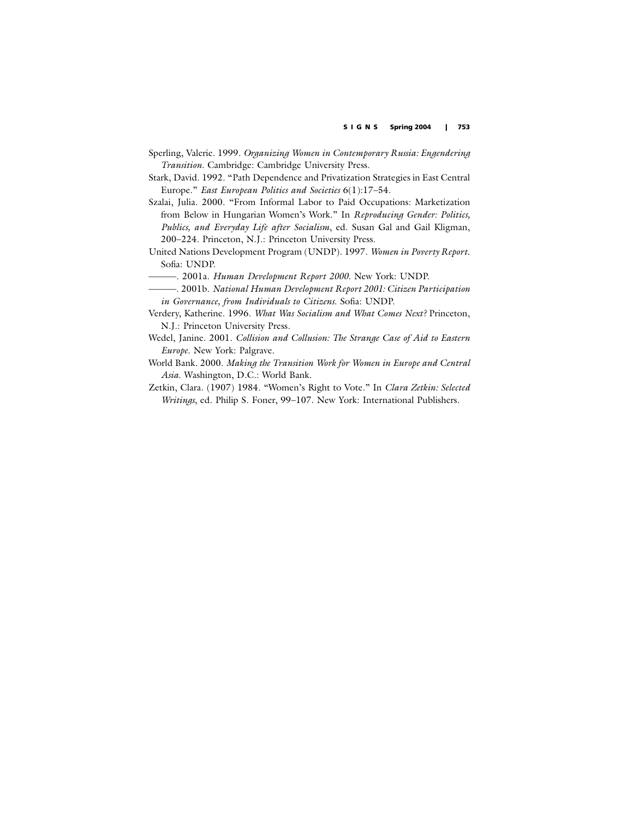- Sperling, Valerie. 1999. *Organizing Women in Contemporary Russia: Engendering Transition*. Cambridge: Cambridge University Press.
- Stark, David. 1992. "Path Dependence and Privatization Strategies in East Central Europe." *East European Politics and Societies* 6(1):17–54.
- Szalai, Julia. 2000. "From Informal Labor to Paid Occupations: Marketization from Below in Hungarian Women's Work." In *Reproducing Gender: Politics, Publics, and Everyday Life after Socialism*, ed. Susan Gal and Gail Kligman, 200–224. Princeton, N.J.: Princeton University Press.
- United Nations Development Program (UNDP). 1997. *Women in Poverty Report*. Sofia: UNDP.
- ———. 2001a. *Human Development Report 2000*. New York: UNDP.
- ———. 2001b. *National Human Development Report 2001: Citizen Participation in Governance, from Individuals to Citizens*. Sofia: UNDP.
- Verdery, Katherine. 1996. *What Was Socialism and What Comes Next?* Princeton, N.J.: Princeton University Press.
- Wedel, Janine. 2001. *Collision and Collusion: The Strange Case of Aid to Eastern Europe*. New York: Palgrave.
- World Bank. 2000. *Making the Transition Work for Women in Europe and Central Asia*. Washington, D.C.: World Bank.
- Zetkin, Clara. (1907) 1984. "Women's Right to Vote." In *Clara Zetkin: Selected Writings*, ed. Philip S. Foner, 99–107. New York: International Publishers.